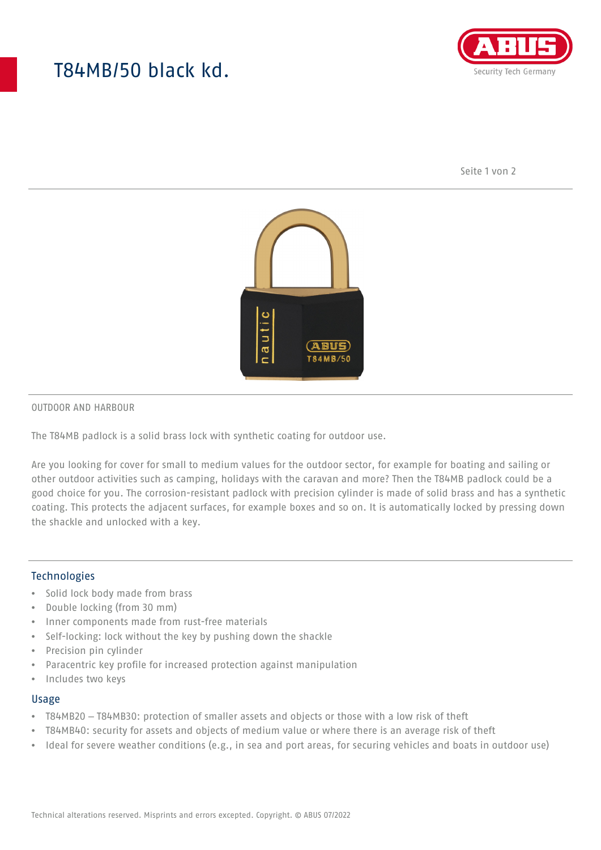# T84MB/50 black kd.



Seite 1 von 2



#### OUTDOOR AND HARBOUR

The T84MB padlock is a solid brass lock with synthetic coating for outdoor use.

Are you looking for cover for small to medium values for the outdoor sector, for example for boating and sailing or other outdoor activities such as camping, holidays with the caravan and more? Then the T84MB padlock could be a good choice for you. The corrosion-resistant padlock with precision cylinder is made of solid brass and has a synthetic coating. This protects the adjacent surfaces, for example boxes and so on. It is automatically locked by pressing down the shackle and unlocked with a key.

#### Technologies

- Solid lock body made from brass
- Double locking (from 30 mm)
- Inner components made from rust-free materials
- Self-locking: lock without the key by pushing down the shackle
- Precision pin cylinder
- Paracentric key profile for increased protection against manipulation
- Includes two keys

#### Usage

- T84MB20 T84MB30: protection of smaller assets and objects or those with a low risk of theft
- T84MB40: security for assets and objects of medium value or where there is an average risk of theft
- Ideal for severe weather conditions (e.g., in sea and port areas, for securing vehicles and boats in outdoor use)